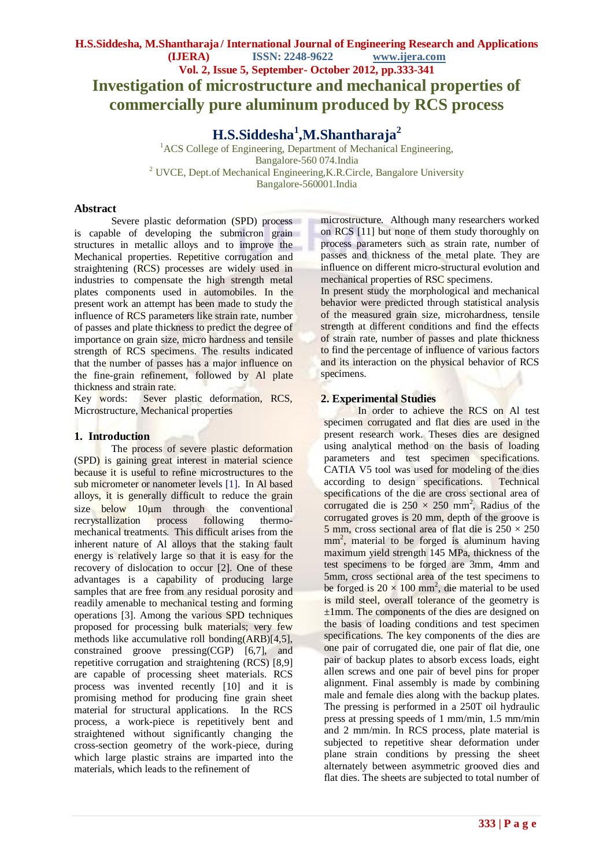**H.S.Siddesha<sup>1</sup> ,M.Shantharaja<sup>2</sup>**

<sup>1</sup>ACS College of Engineering, Department of Mechanical Engineering, Bangalore-560 074.India <sup>2</sup> UVCE, Dept.of Mechanical Engineering, K.R.Circle, Bangalore University Bangalore-560001.India

## **Abstract**

Severe plastic deformation (SPD) process is capable of developing the submicron grain structures in metallic alloys and to improve the Mechanical properties. Repetitive corrugation and straightening (RCS) processes are widely used in industries to compensate the high strength metal plates components used in automobiles. In the present work an attempt has been made to study the influence of RCS parameters like strain rate, number of passes and plate thickness to predict the degree of importance on grain size, micro hardness and tensile strength of RCS specimens. The results indicated that the number of passes has a major influence on the fine-grain refinement, followed by Al plate thickness and strain rate.

Key words: Sever plastic deformation, RCS, Microstructure, Mechanical properties

## **1. Introduction**

The process of severe plastic deformation (SPD) is gaining great interest in material science because it is useful to refine microstructures to the sub micrometer or nanometer levels [1]. In Al based alloys, it is generally difficult to reduce the grain size below  $10\mu m$  through the conventional recrystallization process following thermomechanical treatments. This difficult arises from the inherent nature of Al alloys that the staking fault energy is relatively large so that it is easy for the recovery of dislocation to occur [2]. One of these advantages is a capability of producing large samples that are free from any residual porosity and readily amenable to mechanical testing and forming operations [3]. Among the various SPD techniques proposed for processing bulk materials; very few methods like accumulative roll bonding(ARB)[4,5], constrained groove pressing(CGP) [6,7], and repetitive corrugation and straightening (RCS) [8,9] are capable of processing sheet materials. RCS process was invented recently [10] and it is promising method for producing fine grain sheet material for structural applications. In the RCS process, a work-piece is repetitively bent and straightened without significantly changing the cross-section geometry of the work-piece, during which large plastic strains are imparted into the materials, which leads to the refinement of

microstructure. Although many researchers worked on RCS [11] but none of them study thoroughly on process parameters such as strain rate, number of passes and thickness of the metal plate. They are influence on different micro-structural evolution and mechanical properties of RSC specimens.

In present study the morphological and mechanical behavior were predicted through statistical analysis of the measured grain size, microhardness, tensile strength at different conditions and find the effects of strain rate, number of passes and plate thickness to find the percentage of influence of various factors and its interaction on the physical behavior of RCS specimens.

# **2. Experimental Studies**

In order to achieve the RCS on Al test specimen corrugated and flat dies are used in the present research work. Theses dies are designed using analytical method on the basis of loading parameters and test specimen specifications. CATIA V5 tool was used for modeling of the dies according to design specifications. Technical specifications of the die are cross sectional area of corrugated die is  $250 \times 250$  mm<sup>2</sup>, Radius of the corrugated groves is 20 mm, depth of the groove is 5 mm, cross sectional area of flat die is  $250 \times 250$ mm<sup>2</sup>, material to be forged is aluminum having maximum yield strength 145 MPa, thickness of the test specimens to be forged are 3mm, 4mm and 5mm, cross sectional area of the test specimens to be forged is  $20 \times 100$  mm<sup>2</sup>, die material to be used is mild steel, overall tolerance of the geometry is ±1mm. The components of the dies are designed on the basis of loading conditions and test specimen specifications. The key components of the dies are one pair of corrugated die, one pair of flat die, one pair of backup plates to absorb excess loads, eight allen screws and one pair of bevel pins for proper alignment. Final assembly is made by combining male and female dies along with the backup plates. The pressing is performed in a 250T oil hydraulic press at pressing speeds of 1 mm/min, 1.5 mm/min and 2 mm/min. In RCS process, plate material is subjected to repetitive shear deformation under plane strain conditions by pressing the sheet alternately between asymmetric grooved dies and flat dies. The sheets are subjected to total number of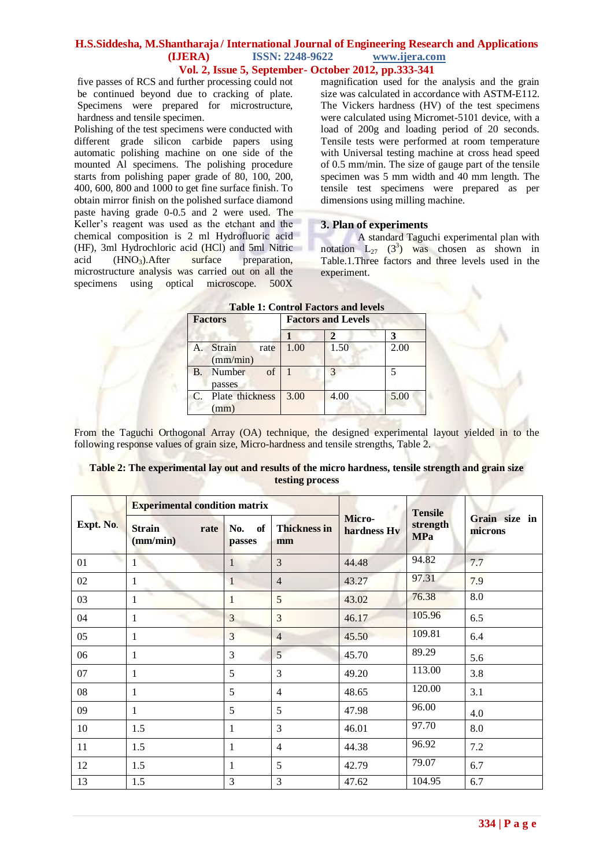five passes of RCS and further processing could not be continued beyond due to cracking of plate. Specimens were prepared for microstructure, hardness and tensile specimen.

Polishing of the test specimens were conducted with different grade silicon carbide papers using automatic polishing machine on one side of the mounted Al specimens. The polishing procedure starts from polishing paper grade of 80, 100, 200, 400, 600, 800 and 1000 to get fine surface finish. To obtain mirror finish on the polished surface diamond paste having grade 0-0.5 and 2 were used. The Keller's reagent was used as the etchant and the chemical composition is 2 ml Hydrofluoric acid (HF), 3ml Hydrochloric acid (HCl) and 5ml Nitric acid  $(HNO<sub>3</sub>)$ . After surface preparation, microstructure analysis was carried out on all the specimens using optical microscope. 500X

magnification used for the analysis and the grain size was calculated in accordance with ASTM-E112. The Vickers hardness (HV) of the test specimens were calculated using Micromet-5101 device, with a load of 200g and loading period of 20 seconds. Tensile tests were performed at room temperature with Universal testing machine at cross head speed of 0.5 mm/min. The size of gauge part of the tensile specimen was 5 mm width and 40 mm length. The tensile test specimens were prepared as per dimensions using milling machine.

## **3. Plan of experiments**

A standard Taguchi experimental plan with notation  $L_{27}$  (3<sup>3</sup>) was chosen as shown in Table.1.Three factors and three levels used in the experiment.

| <b>Factors</b> |                                   | <b>Factors and Levels</b> |      |      |  |
|----------------|-----------------------------------|---------------------------|------|------|--|
|                |                                   |                           |      |      |  |
|                | <b>Strain</b><br>rate<br>(mm/min) | 1.00                      | 1.50 | 2.00 |  |
| <b>B.</b>      | of<br>Number<br>passes            |                           |      |      |  |
| $\mathcal{C}$  | Plate thickness<br>(mm)           | 3.00                      | 4.00 | 5.00 |  |

#### **Table 1: Control Factors and levels**

From the Taguchi Orthogonal Array (OA) technique, the designed experimental layout yielded in to the following response values of grain size, Micro-hardness and tensile strengths, Table 2.

| Table 2: The experimental lay out and results of the micro hardness, tensile strength and grain size |  |
|------------------------------------------------------------------------------------------------------|--|
| testing process                                                                                      |  |

|           | <b>Experimental condition matrix</b> |                     |                           |                       | <b>Tensile</b>         |                          |
|-----------|--------------------------------------|---------------------|---------------------------|-----------------------|------------------------|--------------------------|
| Expt. No. | <b>Strain</b><br>rate<br>(mm/min)    | of<br>No.<br>passes | <b>Thickness in</b><br>mm | Micro-<br>hardness Hv | strength<br><b>MPa</b> | Grain size in<br>microns |
| 01        | 1                                    | $\mathbf{1}$        | 3                         | 44.48                 | 94.82                  | 7.7                      |
| 02        | 1                                    | 1                   | $\overline{4}$            | 43.27                 | 97.31                  | 7.9                      |
| 03        | v.<br>1                              | 1                   | 5                         | 43.02                 | 76.38                  | 8.0                      |
| 04        | 1                                    | 3                   | $\overline{3}$            | 46.17                 | 105.96                 | 6.5                      |
| 05        | 1                                    | 3                   | $\overline{4}$            | 45.50                 | 109.81                 | 6.4                      |
| 06        | 1                                    | 3                   | 5 <sup>5</sup>            | 45.70                 | 89.29                  | 5.6                      |
| 07        | 1                                    | 5                   | $\overline{3}$            | 49.20                 | 113.00                 | 3.8                      |
| 08        | 1                                    | 5                   | $\overline{4}$            | 48.65                 | 120.00                 | 3.1                      |
| 09        | 1                                    | 5                   | 5                         | 47.98                 | 96.00                  | 4.0                      |
| 10        | 1.5                                  | 1                   | $\overline{3}$            | 46.01                 | 97.70                  | 8.0                      |
| 11        | 1.5                                  | 1                   | $\overline{4}$            | 44.38                 | 96.92                  | 7.2                      |
| 12        | 1.5                                  | 1                   | 5                         | 42.79                 | 79.07                  | 6.7                      |
| 13        | 1.5                                  | 3                   | 3                         | 47.62                 | 104.95                 | 6.7                      |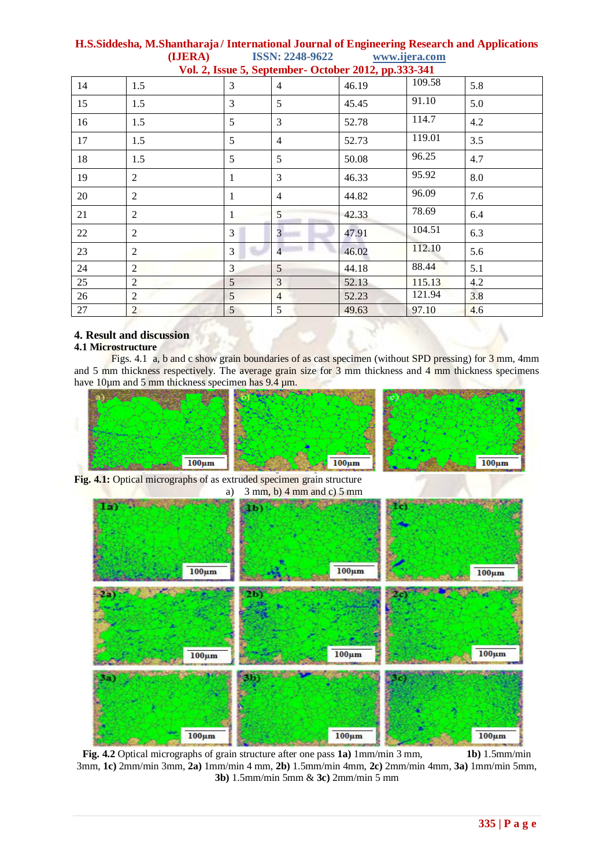| v 01. $\mathbb{Z}_2$ , issue $\mathbb{Z}_2$ , september - October $\mathbb{Z}_2$ 01. $\mathbb{Z}_2$ , pp.333-341 |                |                 |                |       |        |     |  |
|------------------------------------------------------------------------------------------------------------------|----------------|-----------------|----------------|-------|--------|-----|--|
| 14                                                                                                               | 1.5            | 3               | $\overline{4}$ | 46.19 | 109.58 | 5.8 |  |
| 15                                                                                                               | 1.5            | 3               | 5              | 45.45 | 91.10  | 5.0 |  |
| 16                                                                                                               | 1.5            | 5               | 3              | 52.78 | 114.7  | 4.2 |  |
| 17                                                                                                               | 1.5            | 5               | $\overline{4}$ | 52.73 | 119.01 | 3.5 |  |
| 18                                                                                                               | 1.5            | 5               | 5              | 50.08 | 96.25  | 4.7 |  |
| 19                                                                                                               | $\overline{2}$ | 1               | 3              | 46.33 | 95.92  | 8.0 |  |
| 20                                                                                                               | $\overline{2}$ | $\mathbf{1}$    | $\overline{4}$ | 44.82 | 96.09  | 7.6 |  |
| 21                                                                                                               | $\overline{2}$ | 1               | 5              | 42.33 | 78.69  | 6.4 |  |
| 22                                                                                                               | $\overline{2}$ | 3               | $\overline{3}$ | 47.91 | 104.51 | 6.3 |  |
| 23                                                                                                               | 2              | 3               | $\overline{4}$ | 46.02 | 112.10 | 5.6 |  |
| 24                                                                                                               | $\overline{2}$ | 3               | 5              | 44.18 | 88.44  | 5.1 |  |
| 25                                                                                                               | $\overline{2}$ | $\mathfrak{H}$  | 3              | 52.13 | 115.13 | 4.2 |  |
| 26                                                                                                               | $\overline{2}$ | $\overline{5}$  | $\overline{4}$ | 52.23 | 121.94 | 3.8 |  |
| 27                                                                                                               | $\overline{2}$ | $5\overline{)}$ | 5              | 49.63 | 97.10  | 4.6 |  |

## **4. Result and discussion**

#### **4.1 Microstructure**

Figs. 4.1 a, b and c show grain boundaries of as cast specimen (without SPD pressing) for 3 mm, 4mm and 5 mm thickness respectively. The average grain size for 3 mm thickness and 4 mm thickness specimens have 10µm and 5 mm thickness specimen has 9.4 µm.



**Fig. 4.1:** Optical micrographs of as extruded specimen grain structure a)  $3 \text{ mm}$ , b)  $4 \text{ mm}$  and c)  $5 \text{ mm}$ 



**Fig. 4.2** Optical micrographs of grain structure after one pass **1a)** 1mm/min 3 mm, **1b)** 1.5mm/min 3mm, **1c)** 2mm/min 3mm, **2a)** 1mm/min 4 mm, **2b)** 1.5mm/min 4mm, **2c)** 2mm/min 4mm, **3a)** 1mm/min 5mm, **3b)** 1.5mm/min 5mm & **3c)** 2mm/min 5 mm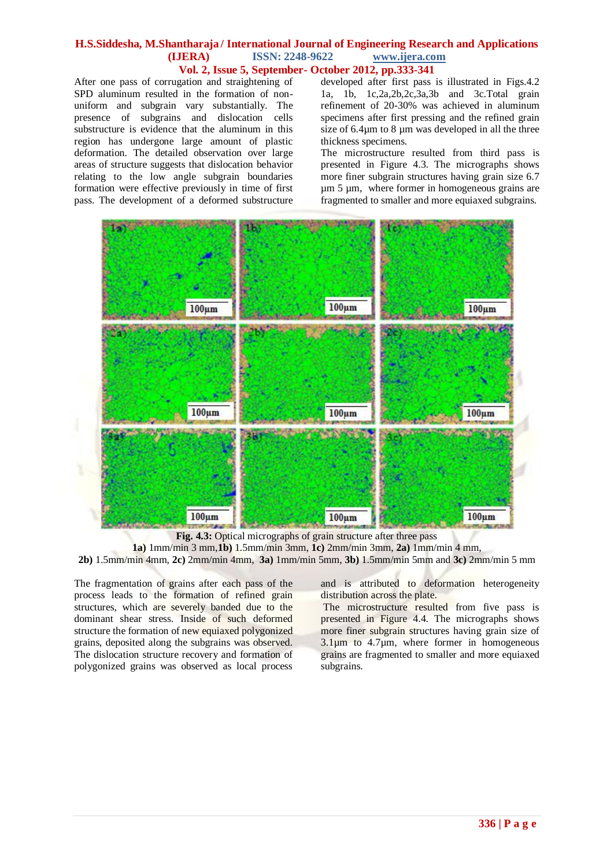After one pass of corrugation and straightening of SPD aluminum resulted in the formation of nonuniform and subgrain vary substantially. The presence of subgrains and dislocation cells substructure is evidence that the aluminum in this region has undergone large amount of plastic deformation. The detailed observation over large areas of structure suggests that dislocation behavior relating to the low angle subgrain boundaries formation were effective previously in time of first pass. The development of a deformed substructure

developed after first pass is illustrated in Figs.4.2 1a, 1b, 1c,2a,2b,2c,3a,3b and 3c.Total grain refinement of 20-30% was achieved in aluminum specimens after first pressing and the refined grain size of 6.4 $\mu$ m to 8  $\mu$ m was developed in all the three thickness specimens.

The microstructure resulted from third pass is presented in Figure 4.3. The micrographs shows more finer subgrain structures having grain size 6.7 um 5 um, where former in homogeneous grains are fragmented to smaller and more equiaxed subgrains.



**Fig. 4.3:** Optical micrographs of grain structure after three pass

**1a)** 1mm/min 3 mm,**1b)** 1.5mm/min 3mm, **1c)** 2mm/min 3mm, **2a)** 1mm/min 4 mm,

**2b)** 1.5mm/min 4mm, **2c)** 2mm/min 4mm, **3a)** 1mm/min 5mm, **3b)** 1.5mm/min 5mm and **3c)** 2mm/min 5 mm

The fragmentation of grains after each pass of the process leads to the formation of refined grain structures, which are severely banded due to the dominant shear stress. Inside of such deformed structure the formation of new equiaxed polygonized grains, deposited along the subgrains was observed. The dislocation structure recovery and formation of polygonized grains was observed as local process

and is attributed to deformation heterogeneity distribution across the plate.

The microstructure resulted from five pass is presented in Figure 4.4. The micrographs shows more finer subgrain structures having grain size of  $3.1\,\mu\text{m}$  to  $4.7\,\mu\text{m}$ , where former in homogeneous grains are fragmented to smaller and more equiaxed subgrains.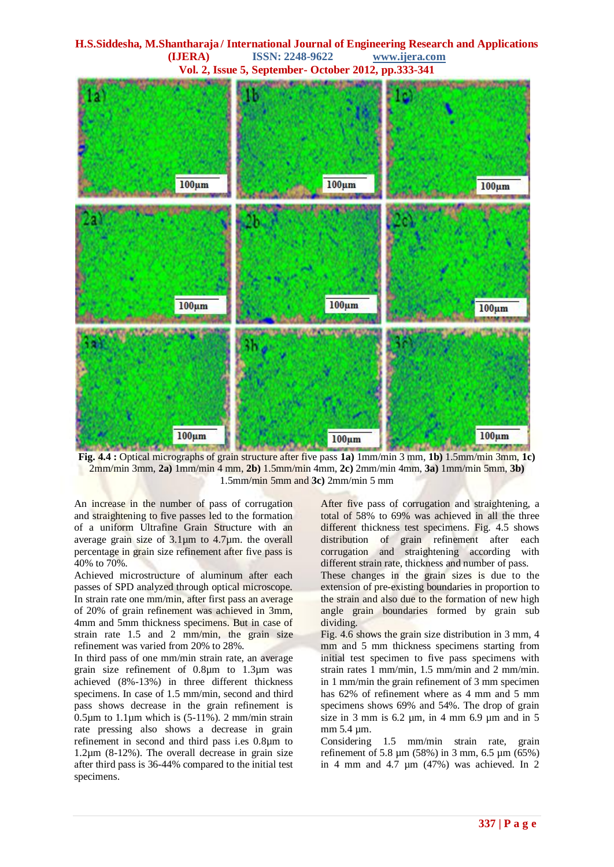**H.S.Siddesha, M.Shantharaja / International Journal of Engineering Research and Applications (IJERA) ISSN: 2248-9622 www.ijera.com Vol. 2, Issue 5, September- October 2012, pp.333-341**  $100<sub>um</sub>$  $100<sub>um</sub>$  $100 \mu m$  $100<sub>um</sub>$  $100<sub>um</sub>$  $100<sub>um</sub>$  $100<sub>um</sub>$  $100<sub>um</sub>$  $100<sub>um</sub>$ 

**Fig. 4.4 :** Optical micrographs of grain structure after five pass **1a)** 1mm/min 3 mm, **1b)** 1.5mm/min 3mm, **1c)** 2mm/min 3mm, **2a)** 1mm/min 4 mm, **2b)** 1.5mm/min 4mm, **2c)** 2mm/min 4mm, **3a)** 1mm/min 5mm, **3b)** 1.5mm/min 5mm and **3c)** 2mm/min 5 mm

An increase in the number of pass of corrugation and straightening to five passes led to the formation of a uniform Ultrafine Grain Structure with an average grain size of  $3.1 \mu m$  to  $4.7 \mu m$ . the overall percentage in grain size refinement after five pass is 40% to 70%.

Achieved microstructure of aluminum after each passes of SPD analyzed through optical microscope. In strain rate one mm/min, after first pass an average of 20% of grain refinement was achieved in 3mm, 4mm and 5mm thickness specimens. But in case of strain rate 1.5 and 2 mm/min, the grain size refinement was varied from 20% to 28%.

In third pass of one mm/min strain rate, an average grain size refinement of 0.8µm to 1.3µm was achieved (8%-13%) in three different thickness specimens. In case of 1.5 mm/min, second and third pass shows decrease in the grain refinement is 0.5 $\mu$ m to 1.1 $\mu$ m which is (5-11%). 2 mm/min strain rate pressing also shows a decrease in grain refinement in second and third pass i.es 0.8µm to 1.2µm (8-12%). The overall decrease in grain size after third pass is 36-44% compared to the initial test specimens.

After five pass of corrugation and straightening, a total of 58% to 69% was achieved in all the three different thickness test specimens. Fig. 4.5 shows distribution of grain refinement after each corrugation and straightening according with different strain rate, thickness and number of pass.

These changes in the grain sizes is due to the extension of pre-existing boundaries in proportion to the strain and also due to the formation of new high angle grain boundaries formed by grain sub dividing.

Fig. 4.6 shows the grain size distribution in 3 mm, 4 mm and 5 mm thickness specimens starting from initial test specimen to five pass specimens with strain rates 1 mm/min, 1.5 mm/min and 2 mm/min. in 1 mm/min the grain refinement of 3 mm specimen has 62% of refinement where as 4 mm and 5 mm specimens shows 69% and 54%. The drop of grain size in 3 mm is  $6.2 \mu m$ , in 4 mm  $6.9 \mu m$  and in 5 mm 5.4 µm.

Considering 1.5 mm/min strain rate, grain refinement of 5.8 µm (58%) in 3 mm, 6.5 µm (65%) in 4 mm and 4.7  $\mu$ m (47%) was achieved. In 2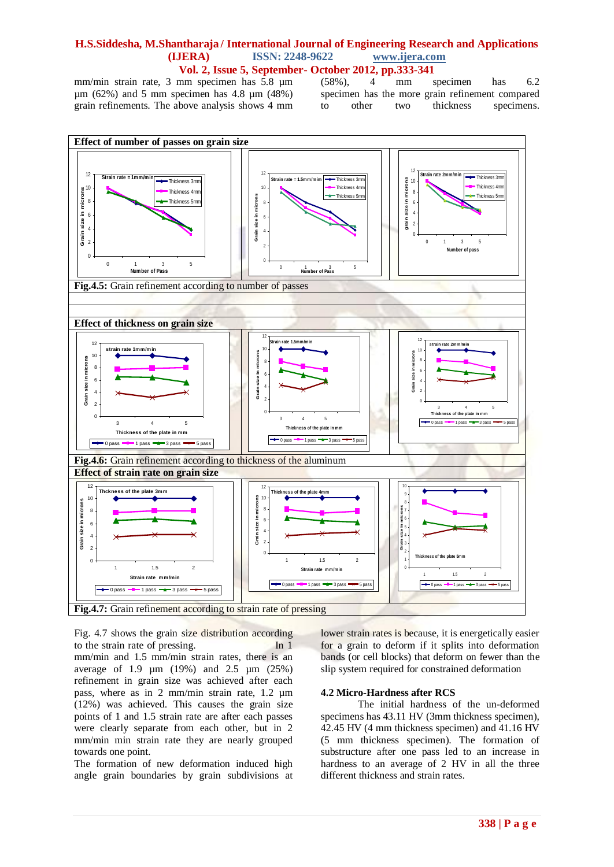mm/min strain rate, 3 mm specimen has 5.8 µm (58%), 4 mm specimen has 6.2  $\mu$ m (62%) and 5 mm specimen has 4.8  $\mu$ m (48%) grain refinements. The above analysis shows 4 mm

specimen has the more grain refinement compared to other two thickness specimens.



Fig. 4.7 shows the grain size distribution according to the strain rate of pressing. In 1 mm/min and 1.5 mm/min strain rates, there is an average of 1.9 µm (19%) and 2.5 µm (25%) refinement in grain size was achieved after each pass, where as in 2 mm/min strain rate, 1.2 µm (12%) was achieved. This causes the grain size points of 1 and 1.5 strain rate are after each passes were clearly separate from each other, but in 2 mm/min min strain rate they are nearly grouped towards one point.

The formation of new deformation induced high angle grain boundaries by grain subdivisions at lower strain rates is because, it is energetically easier for a grain to deform if it splits into deformation bands (or cell blocks) that deform on fewer than the slip system required for constrained deformation

#### **4.2 Micro-Hardness after RCS**

The initial hardness of the un-deformed specimens has 43.11 HV (3mm thickness specimen), 42.45 HV (4 mm thickness specimen) and 41.16 HV (5 mm thickness specimen). The formation of substructure after one pass led to an increase in hardness to an average of 2 HV in all the three different thickness and strain rates.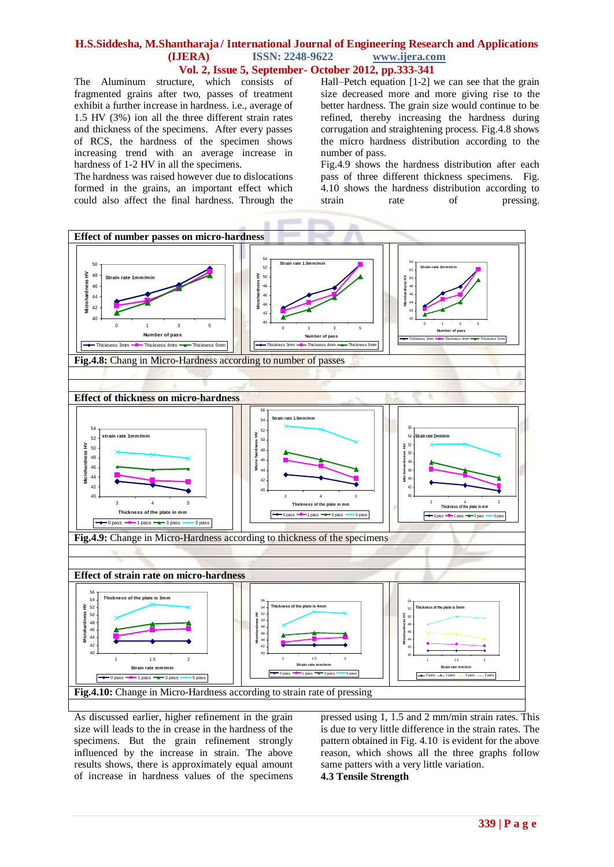# **H.S.Siddesha, M.Shantharaja / International Journal of Engineering Research and Applications (IJERA) ISSN: 2248-9622 www.ijera.com**

**Vol. 2, Issue 5, September- October 2012, pp.333-341**

The Aluminum structure, which consists of fragmented grains after two, passes of treatment exhibit a further increase in hardness. i.e., average of 1.5 HV (3%) ion all the three different strain rates and thickness of the specimens. After every passes of RCS, the hardness of the specimen shows increasing trend with an average increase in hardness of 1-2 HV in all the specimens.

The hardness was raised however due to dislocations formed in the grains, an important effect which could also affect the final hardness. Through the

Hall–Petch equation [1-2] we can see that the grain size decreased more and more giving rise to the better hardness. The grain size would continue to be refined, thereby increasing the hardness during corrugation and straightening process. Fig.4.8 shows the micro hardness distribution according to the number of pass.

Fig.4.9 shows the hardness distribution after each pass of three different thickness specimens. Fig. 4.10 shows the hardness distribution according to strain rate of pressing.



As discussed earlier, higher refinement in the grain size will leads to the in crease in the hardness of the specimens. But the grain refinement strongly influenced by the increase in strain. The above results shows, there is approximately equal amount of increase in hardness values of the specimens pressed using 1, 1.5 and 2 mm/min strain rates. This is due to very little difference in the strain rates. The pattern obtained in Fig. 4.10 is evident for the above reason, which shows all the three graphs follow same patters with a very little variation. **4.3 Tensile Strength**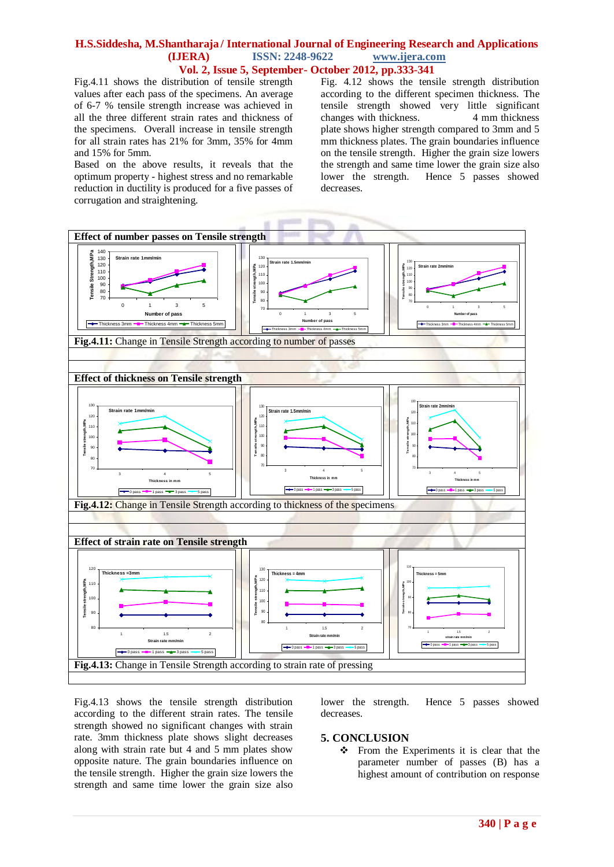Fig.4.11 shows the distribution of tensile strength values after each pass of the specimens. An average of 6-7 % tensile strength increase was achieved in all the three different strain rates and thickness of the specimens. Overall increase in tensile strength for all strain rates has 21% for 3mm, 35% for 4mm and 15% for 5mm.

Based on the above results, it reveals that the optimum property - highest stress and no remarkable reduction in ductility is produced for a five passes of corrugation and straightening.

Fig. 4.12 shows the tensile strength distribution according to the different specimen thickness. The tensile strength showed very little significant changes with thickness. 4 mm thickness changes with thickness. plate shows higher strength compared to 3mm and 5 mm thickness plates. The grain boundaries influence on the tensile strength. Higher the grain size lowers the strength and same time lower the grain size also lower the strength. Hence 5 passes showed decreases.



Fig.4.13 shows the tensile strength distribution according to the different strain rates. The tensile strength showed no significant changes with strain rate. 3mm thickness plate shows slight decreases along with strain rate but 4 and 5 mm plates show opposite nature. The grain boundaries influence on the tensile strength. Higher the grain size lowers the strength and same time lower the grain size also

lower the strength. Hence 5 passes showed decreases.

#### **5. CONCLUSION**

 From the Experiments it is clear that the parameter number of passes (B) has a highest amount of contribution on response